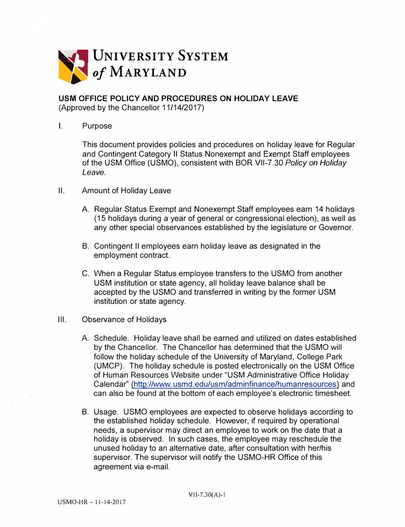

## **USM OFFICE POLICY AND PROCEDURES ON HOLIDAY LEAVE**

(Approved by the Chancellor 11/14/2017)

## I. Purpose

This document provides policies and procedures on holiday leave for Regular and Contingent Category 11 Status Nonexempt and Exempt Staff employees of the USM Office (USMO), consistent with BOR Vll-7.30 *Policy on Holiday Leave.*

- II. Amount of Holiday Leave
	- A. Regular Status Exempt and Nonexempt Staff employees earn 14 holidays (15 holidays during a year of general or congressional election), as well as any other special observances established by the legislature or Governor.
	- B. Contingent II employees earn holiday leave as designated in the employment contract.
	- C. When a Regular Status employee transfers to the USMO from another USM institution or state agency, all holiday leave balance shall be accepted by the USMO and transferred in writing by the former USM institution or state agency.

## Ill. Observance of Holidays

- A. Schedule. Holiday leave shall be earned and utilized on dates established by the Chancellor. The Chancellor has determined that the USMO will follow the holiday schedule of the University of Maryland, College Park (UMCP). The holiday schedule is posted electronically on the USM Office of Human Resources Website under "USM Administrative Office Holiday Calendar" (http://www.usmd.edu/usm/adminfinance/humanresources) and can also be found at the bottom of each employee's electronic timesheet.
- B. Usage. USMO employees are expected to observe holidays according to the established holiday schedule. However, if required by operational needs, a supervisor may direct an employee to work on the date that a holiday is observed. In such cases, the employee may reschedule the unused holiday to an alternative date, after consultation with her/his supervisor. The supervisor will notify the USMO-HR Office of this agreement via e-mail.